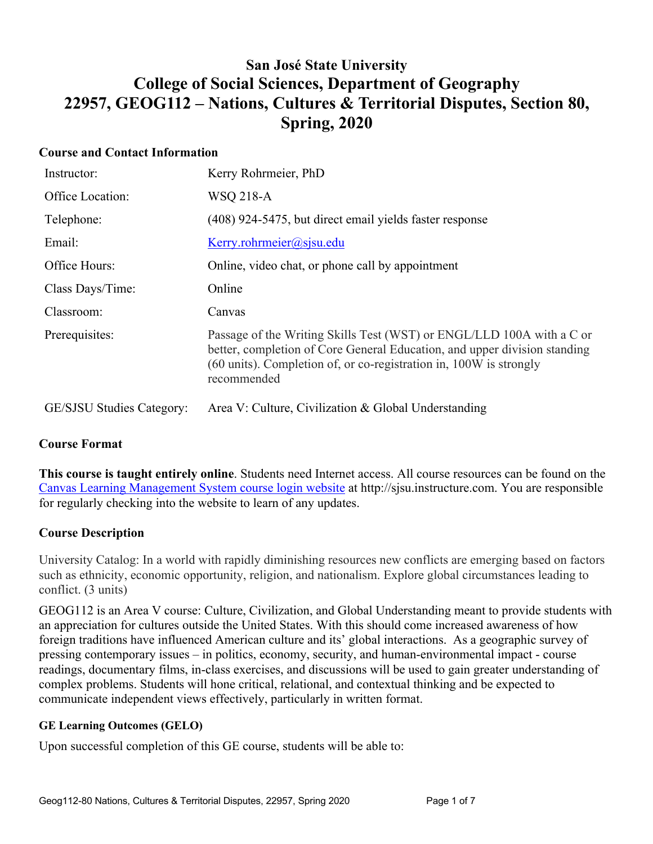# **San José State University College of Social Sciences, Department of Geography 22957, GEOG112 – Nations, Cultures & Territorial Disputes, Section 80, Spring, 2020**

## **Course and Contact Information**

| Instructor:                      | Kerry Rohrmeier, PhD                                                                                                                                                                                                                    |
|----------------------------------|-----------------------------------------------------------------------------------------------------------------------------------------------------------------------------------------------------------------------------------------|
| Office Location:                 | WSQ 218-A                                                                                                                                                                                                                               |
| Telephone:                       | (408) 924-5475, but direct email yields faster response                                                                                                                                                                                 |
| Email:                           | Kerry. rohrmeier@ssisu.edu                                                                                                                                                                                                              |
| Office Hours:                    | Online, video chat, or phone call by appointment                                                                                                                                                                                        |
| Class Days/Time:                 | Online                                                                                                                                                                                                                                  |
| Classroom:                       | Canvas                                                                                                                                                                                                                                  |
| Prerequisites:                   | Passage of the Writing Skills Test (WST) or ENGL/LLD 100A with a C or<br>better, completion of Core General Education, and upper division standing<br>(60 units). Completion of, or co-registration in, 100W is strongly<br>recommended |
| <b>GE/SJSU Studies Category:</b> | Area V: Culture, Civilization & Global Understanding                                                                                                                                                                                    |

## **Course Format**

**This course is taught entirely online**. Students need Internet access. All course resources can be found on the Canvas Learning Management System course login website at http://sjsu.instructure.com. You are responsible for regularly checking into the website to learn of any updates.

## **Course Description**

University Catalog: In a world with rapidly diminishing resources new conflicts are emerging based on factors such as ethnicity, economic opportunity, religion, and nationalism. Explore global circumstances leading to conflict. (3 units)

GEOG112 is an Area V course: Culture, Civilization, and Global Understanding meant to provide students with an appreciation for cultures outside the United States. With this should come increased awareness of how foreign traditions have influenced American culture and its' global interactions. As a geographic survey of pressing contemporary issues – in politics, economy, security, and human-environmental impact - course readings, documentary films, in-class exercises, and discussions will be used to gain greater understanding of complex problems. Students will hone critical, relational, and contextual thinking and be expected to communicate independent views effectively, particularly in written format.

#### **GE Learning Outcomes (GELO)**

Upon successful completion of this GE course, students will be able to: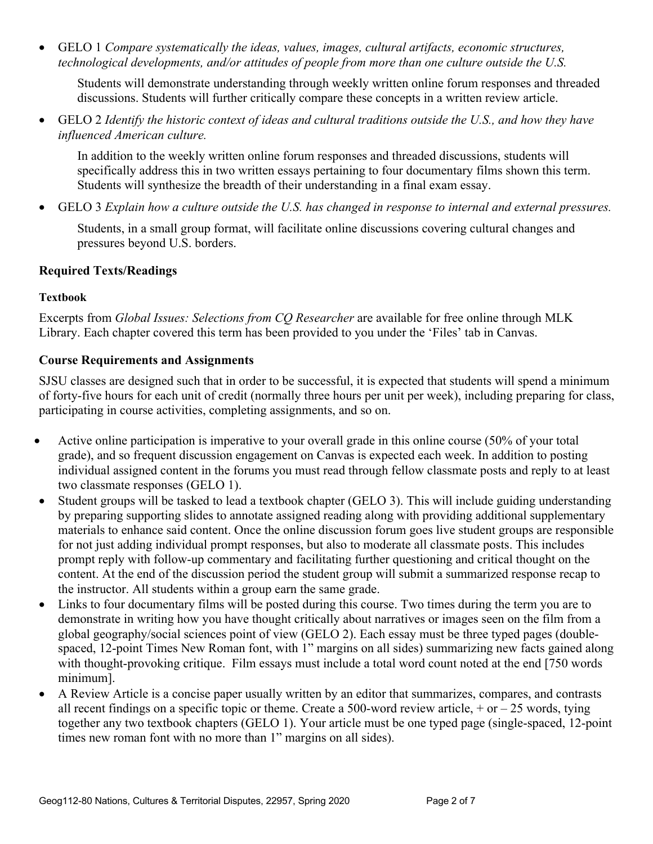• GELO 1 *Compare systematically the ideas, values, images, cultural artifacts, economic structures, technological developments, and/or attitudes of people from more than one culture outside the U.S.*

Students will demonstrate understanding through weekly written online forum responses and threaded discussions. Students will further critically compare these concepts in a written review article.

• GELO 2 *Identify the historic context of ideas and cultural traditions outside the U.S., and how they have influenced American culture.*

In addition to the weekly written online forum responses and threaded discussions, students will specifically address this in two written essays pertaining to four documentary films shown this term. Students will synthesize the breadth of their understanding in a final exam essay.

• GELO 3 *Explain how a culture outside the U.S. has changed in response to internal and external pressures.*

Students, in a small group format, will facilitate online discussions covering cultural changes and pressures beyond U.S. borders.

## **Required Texts/Readings**

#### **Textbook**

Excerpts from *Global Issues: Selections from CQ Researcher* are available for free online through MLK Library. Each chapter covered this term has been provided to you under the 'Files' tab in Canvas.

## **Course Requirements and Assignments**

SJSU classes are designed such that in order to be successful, it is expected that students will spend a minimum of forty-five hours for each unit of credit (normally three hours per unit per week), including preparing for class, participating in course activities, completing assignments, and so on.

- Active online participation is imperative to your overall grade in this online course (50% of your total grade), and so frequent discussion engagement on Canvas is expected each week. In addition to posting individual assigned content in the forums you must read through fellow classmate posts and reply to at least two classmate responses (GELO 1).
- Student groups will be tasked to lead a textbook chapter (GELO 3). This will include guiding understanding by preparing supporting slides to annotate assigned reading along with providing additional supplementary materials to enhance said content. Once the online discussion forum goes live student groups are responsible for not just adding individual prompt responses, but also to moderate all classmate posts. This includes prompt reply with follow-up commentary and facilitating further questioning and critical thought on the content. At the end of the discussion period the student group will submit a summarized response recap to the instructor. All students within a group earn the same grade.
- Links to four documentary films will be posted during this course. Two times during the term you are to demonstrate in writing how you have thought critically about narratives or images seen on the film from a global geography/social sciences point of view (GELO 2). Each essay must be three typed pages (doublespaced, 12-point Times New Roman font, with 1" margins on all sides) summarizing new facts gained along with thought-provoking critique. Film essays must include a total word count noted at the end [750 words minimum].
- A Review Article is a concise paper usually written by an editor that summarizes, compares, and contrasts all recent findings on a specific topic or theme. Create a 500-word review article,  $+$  or  $-$  25 words, tying together any two textbook chapters (GELO 1). Your article must be one typed page (single-spaced, 12-point times new roman font with no more than 1" margins on all sides).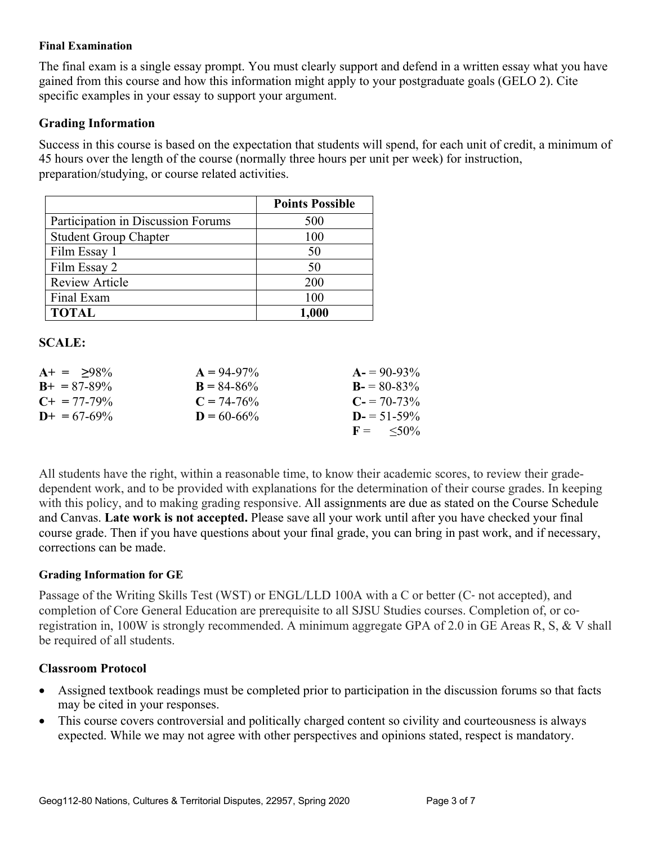#### **Final Examination**

The final exam is a single essay prompt. You must clearly support and defend in a written essay what you have gained from this course and how this information might apply to your postgraduate goals (GELO 2). Cite specific examples in your essay to support your argument.

#### **Grading Information**

Success in this course is based on the expectation that students will spend, for each unit of credit, a minimum of 45 hours over the length of the course (normally three hours per unit per week) for instruction, preparation/studying, or course related activities.

|                                    | <b>Points Possible</b> |
|------------------------------------|------------------------|
| Participation in Discussion Forums | 500                    |
| <b>Student Group Chapter</b>       | 100                    |
| Film Essay 1                       | 50                     |
| Film Essay 2                       | 50                     |
| <b>Review Article</b>              | 200                    |
| Final Exam                         | 100                    |
| <b>TOTAL</b>                       | 1,000                  |

#### **SCALE:**

| $A+ = 98\%$           | $A = 94-97\%$   | $A = 90-93\%$              |
|-----------------------|-----------------|----------------------------|
| $B_{+} = 87 - 89\%$   | $B = 84 - 86\%$ | $B = 80-83\%$              |
| $C_{\pm} = 77 - 79\%$ | $C = 74 - 76\%$ | $C = 70-73\%$              |
| $D_{+} = 67 - 69\%$   | $D = 60 - 66\%$ | $D = 51 - 59\%$            |
|                       |                 | $F = \langle 50\% \rangle$ |

All students have the right, within a reasonable time, to know their academic scores, to review their gradedependent work, and to be provided with explanations for the determination of their course grades. In keeping with this policy, and to making grading responsive. All assignments are due as stated on the Course Schedule and Canvas. **Late work is not accepted.** Please save all your work until after you have checked your final course grade. Then if you have questions about your final grade, you can bring in past work, and if necessary, corrections can be made.

#### **Grading Information for GE**

Passage of the Writing Skills Test (WST) or ENGL/LLD 100A with a C or better (C‐ not accepted), and completion of Core General Education are prerequisite to all SJSU Studies courses. Completion of, or coregistration in, 100W is strongly recommended. A minimum aggregate GPA of 2.0 in GE Areas R, S, & V shall be required of all students.

## **Classroom Protocol**

- Assigned textbook readings must be completed prior to participation in the discussion forums so that facts may be cited in your responses.
- This course covers controversial and politically charged content so civility and courteousness is always expected. While we may not agree with other perspectives and opinions stated, respect is mandatory.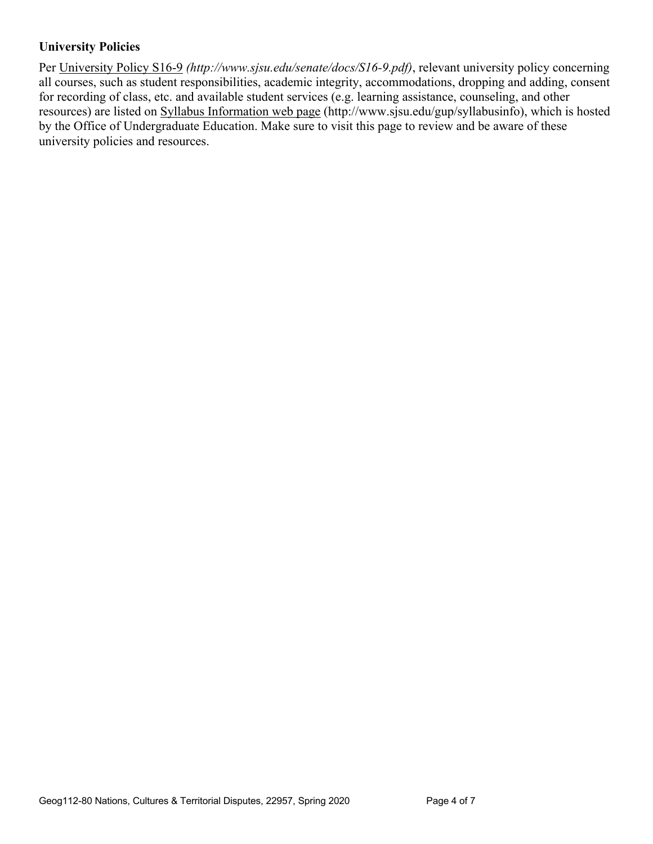# **University Policies**

Per University Policy S16-9 *(http://www.sjsu.edu/senate/docs/S16-9.pdf)*, relevant university policy concerning all courses, such as student responsibilities, academic integrity, accommodations, dropping and adding, consent for recording of class, etc. and available student services (e.g. learning assistance, counseling, and other resources) are listed on Syllabus Information web page (http://www.sjsu.edu/gup/syllabusinfo), which is hosted by the Office of Undergraduate Education. Make sure to visit this page to review and be aware of these university policies and resources.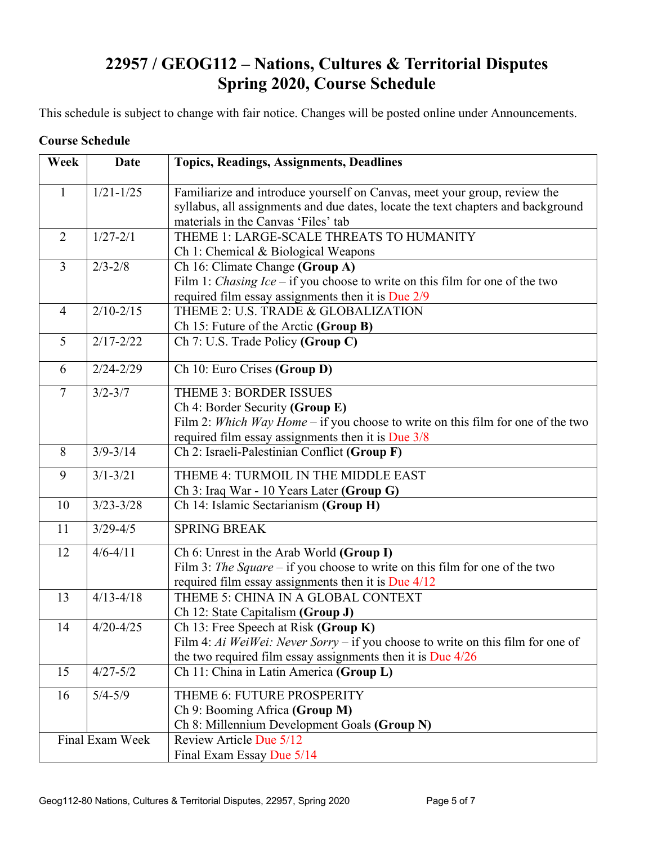# **22957 / GEOG112 – Nations, Cultures & Territorial Disputes Spring 2020, Course Schedule**

This schedule is subject to change with fair notice. Changes will be posted online under Announcements.

#### **Course Schedule**

| Week           | <b>Date</b>     | <b>Topics, Readings, Assignments, Deadlines</b>                                                                                                                                                           |  |
|----------------|-----------------|-----------------------------------------------------------------------------------------------------------------------------------------------------------------------------------------------------------|--|
| $\mathbf{1}$   | $1/21 - 1/25$   | Familiarize and introduce yourself on Canvas, meet your group, review the<br>syllabus, all assignments and due dates, locate the text chapters and background<br>materials in the Canvas 'Files' tab      |  |
| $\overline{2}$ | $1/27 - 2/1$    | THEME 1: LARGE-SCALE THREATS TO HUMANITY<br>Ch 1: Chemical & Biological Weapons                                                                                                                           |  |
| $\overline{3}$ | $2/3 - 2/8$     | Ch 16: Climate Change (Group A)<br>Film 1: <i>Chasing Ice</i> – if you choose to write on this film for one of the two<br>required film essay assignments then it is Due 2/9                              |  |
| $\overline{4}$ | $2/10 - 2/15$   | THEME 2: U.S. TRADE & GLOBALIZATION<br>Ch 15: Future of the Arctic (Group B)                                                                                                                              |  |
| 5              | $2/17 - 2/22$   | Ch 7: U.S. Trade Policy (Group C)                                                                                                                                                                         |  |
| 6              | $2/24 - 2/29$   | Ch 10: Euro Crises (Group D)                                                                                                                                                                              |  |
| $\overline{7}$ | $3/2 - 3/7$     | <b>THEME 3: BORDER ISSUES</b><br>Ch 4: Border Security (Group E)<br>Film 2: Which Way Home – if you choose to write on this film for one of the two<br>required film essay assignments then it is Due 3/8 |  |
| 8              | $3/9 - 3/14$    | Ch 2: Israeli-Palestinian Conflict (Group F)                                                                                                                                                              |  |
| 9              | $3/1 - 3/21$    | THEME 4: TURMOIL IN THE MIDDLE EAST<br>Ch 3: Iraq War - 10 Years Later (Group G)                                                                                                                          |  |
| 10             | $3/23 - 3/28$   | Ch 14: Islamic Sectarianism (Group H)                                                                                                                                                                     |  |
| 11             | $3/29 - 4/5$    | <b>SPRING BREAK</b>                                                                                                                                                                                       |  |
| 12             | $4/6 - 4/11$    | Ch 6: Unrest in the Arab World (Group I)<br>Film 3: The Square – if you choose to write on this film for one of the two<br>required film essay assignments then it is Due $4/12$                          |  |
| 13             | $4/13 - 4/18$   | THEME 5: CHINA IN A GLOBAL CONTEXT<br>Ch 12: State Capitalism (Group J)                                                                                                                                   |  |
| 14             | $4/20 - 4/25$   | Ch 13: Free Speech at Risk (Group K)<br>Film 4: Ai WeiWei: Never Sorry – if you choose to write on this film for one of<br>the two required film essay assignments then it is Due $4/26$                  |  |
| 15             | $4/27 - 5/2$    | Ch 11: China in Latin America (Group L)                                                                                                                                                                   |  |
| 16             | $5/4 - 5/9$     | THEME 6: FUTURE PROSPERITY<br>Ch 9: Booming Africa (Group M)<br>Ch 8: Millennium Development Goals (Group N)                                                                                              |  |
|                | Final Exam Week | Review Article Due 5/12<br>Final Exam Essay Due 5/14                                                                                                                                                      |  |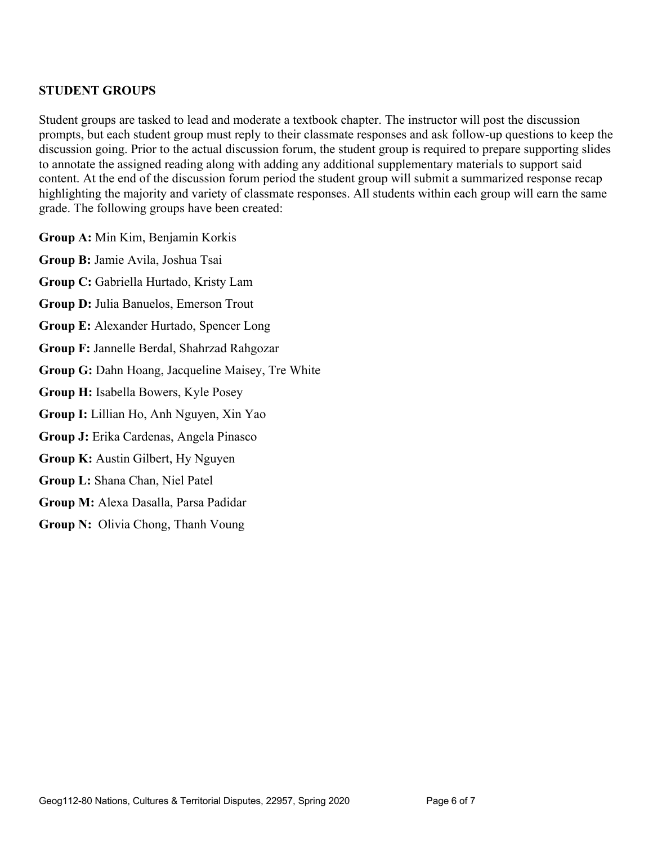## **STUDENT GROUPS**

Student groups are tasked to lead and moderate a textbook chapter. The instructor will post the discussion prompts, but each student group must reply to their classmate responses and ask follow-up questions to keep the discussion going. Prior to the actual discussion forum, the student group is required to prepare supporting slides to annotate the assigned reading along with adding any additional supplementary materials to support said content. At the end of the discussion forum period the student group will submit a summarized response recap highlighting the majority and variety of classmate responses. All students within each group will earn the same grade. The following groups have been created:

**Group A:** Min Kim, Benjamin Korkis

**Group B:** Jamie Avila, Joshua Tsai

**Group C:** Gabriella Hurtado, Kristy Lam

**Group D:** Julia Banuelos, Emerson Trout

**Group E:** Alexander Hurtado, Spencer Long

**Group F:** Jannelle Berdal, Shahrzad Rahgozar

**Group G:** Dahn Hoang, Jacqueline Maisey, Tre White

**Group H:** Isabella Bowers, Kyle Posey

**Group I:** Lillian Ho, Anh Nguyen, Xin Yao

**Group J:** Erika Cardenas, Angela Pinasco

**Group K:** Austin Gilbert, Hy Nguyen

**Group L:** Shana Chan, Niel Patel

**Group M:** Alexa Dasalla, Parsa Padidar

**Group N:** Olivia Chong, Thanh Voung